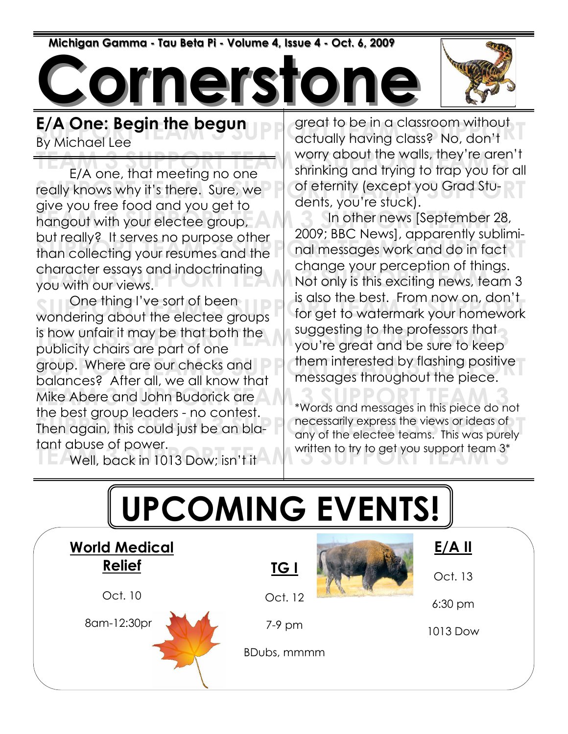Michigan Gamma - Tau Beta Pi - Volume 4, Issue 4 - Oct. 6, 2009

ornerst



E/A One: Begin the begun By Michael Lee

really knows why it's there. Sure, we cofe ternity (except you Grad Stuand you have root and you go he says. In other news [September 28,<br>hangout with your electee group, and an anomal subject and apparently subject but rediry a matrix purpose official contract than collecting your resumes and the and messages work and do in fact character essays and indoctrinating<br>you with our views. E/A one, that meeting no one give you free food and you get to but really? It serves no purpose other character essays and indoctrinating you with our views.

One thing I've sort of been and is use the best. Truth flow on, don't is how unfair it may be that both the suggesting to the protessors that<br>publicity chairs are part of one group. Where are our checks and state them interested by flashing positive<br>balances? After all we all know that states are throughout the piece. Mike Abere and John Budorick are **The Support Team 3 Support Team 3 Support Team** 3 and the states in this piece do no Then again, this could just be an bla-<br>Then again, this could just be an bla-<br>any of the electee teams. This was purely **Cultumer Cheen** Cheen Cheen **Cheen** is how unfair it may be that both the publicity chairs are part of one balances? After all, we all know that the best group leaders - no contest. tant abuse of power.

Term abose or power.<br>  $T = 1$  Well, back in 1013 Dow; isn't it

**E/A One: Begin the begun** and great to be in a classroom without  $\overline{B}$ <br>By Michael Lee worry about the walls, they're aren't<br>F/A one, that meeting no one shrinking and trying to trap you for all great to be in a classroom without worry about the walls, they're aren't of eternity (except you Grad Students, you're stuck).

> In other news [September 28, 2009; BBC News], apparently subliminal messages work and do in fact change your perception of things. is also the best. From now on, don't for get to watermark your homework suggesting to the professors that them interested by flashing positive messages throughout the piece.

\*Words and messages in this piece do not necessarily express the views or ideas of any of the electee teams. This was purely written to try to get you support team 3\*

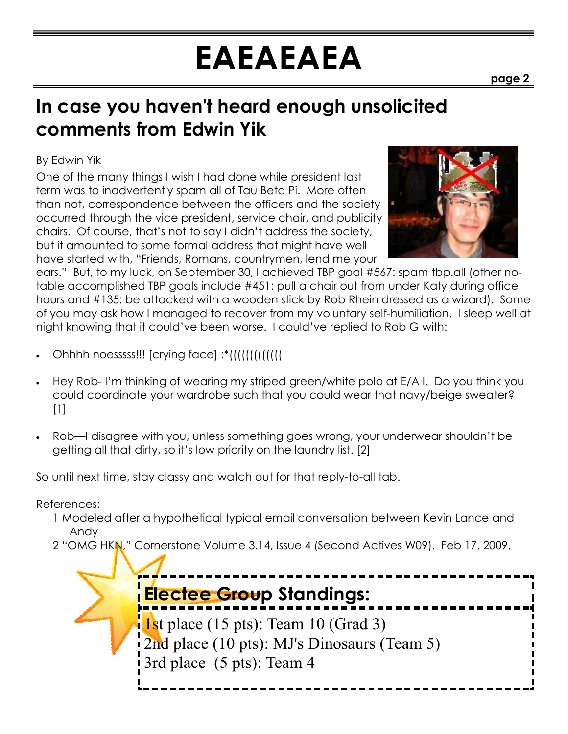# EAEAEAEA

### In case you haven't heard enough unsolicited comments from Edwin Yik

#### By Edwin Yik

One of the many things I wish I had done while president last term was to inadvertently spam all of Tau Beta Pi. More often than not, correspondence between the officers and the society occurred through the vice president, service chair, and publicity chairs. Of course, that's not to say I didn't address the society, but it amounted to some formal address that might have well have started with, "Friends, Romans, countrymen, lend me your



ears." But, to my luck, on September 30, I achieved TBP goal #567: spam tbp.all (other notable accomplished TBP goals include #451: pull a chair out from under Katy during office hours and #135: be attacked with a wooden stick by Rob Rhein dressed as a wizard). Some of you may ask how I managed to recover from my voluntary self-humiliation. I sleep well at night knowing that it could've been worse. I could've replied to Rob G with:

- Ohhhh noesssss!!! [crying face] :\*(((((((((((((
- Hey Rob- I'm thinking of wearing my striped green/white polo at E/A I. Do you think you could coordinate your wardrobe such that you could wear that navy/beige sweater?  $[1]$
- Rob—I disagree with you, unless something goes wrong, your underwear shouldn't be getting all that dirty, so it's low priority on the laundry list. [2]

So until next time, stay classy and watch out for that reply-to-all tab.

References:

- 1 Modeled after a hypothetical typical email conversation between Kevin Lance and Andy
- 2 "OMG HKN," Cornerstone Volume 3.14, Issue 4 (Second Actives W09). Feb 17, 2009.

Electee Group Standings: 1st place (15 pts): Team 10 (Grad 3) 2nd place (10 pts): MJ's Dinosaurs (Team 5) 3rd place (5 pts): Team 4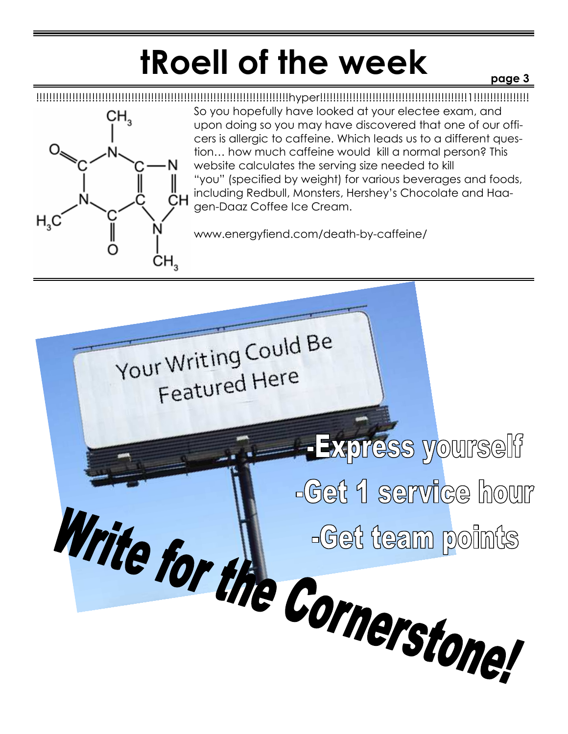## tRoell of the week

#### page 3



!!!!!!!!!!!!!!!!!!!!!!!!!!!!!!!!!!!!!!!!!!!!!!!!!!!!!!!!!!!!!!!!!!!!!!!!!!!!!hyper!!!!!!!!!!!!!!!!!!!!!!!!!!!!!!!!!!!!!!!!!!!!!1!!!!!!!!!!!!!!!!! So you hopefully have looked at your electee exam, and upon doing so you may have discovered that one of our officers is allergic to caffeine. Which leads us to a different question… how much caffeine would kill a normal person? This website calculates the serving size needed to kill "you" (specified by weight) for various beverages and foods, including Redbull, Monsters, Hershey's Chocolate and Haagen-Daaz Coffee Ice Cream.

www.energyfiend.com/death-by-caffeine/

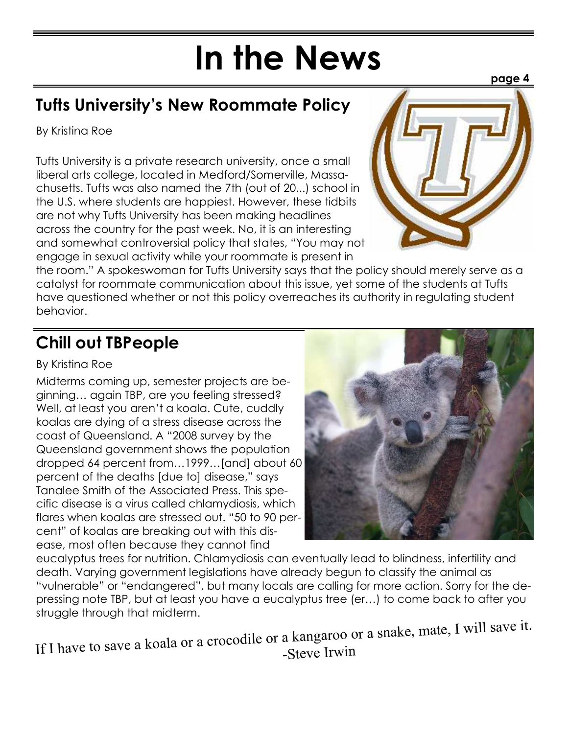# In the News

### Tufts University's New Roommate Policy

By Kristina Roe

Tufts University is a private research university, once a small liberal arts college, located in Medford/Somerville, Massachusetts. Tufts was also named the 7th (out of 20...) school in the U.S. where students are happiest. However, these tidbits are not why Tufts University has been making headlines across the country for the past week. No, it is an interesting and somewhat controversial policy that states, "You may not engage in sexual activity while your roommate is present in



the room." A spokeswoman for Tufts University says that the policy should merely serve as a catalyst for roommate communication about this issue, yet some of the students at Tufts have questioned whether or not this policy overreaches its authority in regulating student behavior.

### Chill out TBPeople

#### By Kristina Roe

Midterms coming up, semester projects are beginning… again TBP, are you feeling stressed? Well, at least you aren't a koala. Cute, cuddly koalas are dying of a stress disease across the coast of Queensland. A "2008 survey by the Queensland government shows the population dropped 64 percent from…1999…[and] about 60 percent of the deaths [due to] disease," says Tanalee Smith of the Associated Press. This specific disease is a virus called chlamydiosis, which flares when koalas are stressed out. "50 to 90 percent" of koalas are breaking out with this disease, most often because they cannot find



eucalyptus trees for nutrition. Chlamydiosis can eventually lead to blindness, infertility and death. Varying government legislations have already begun to classify the animal as "vulnerable" or "endangered", but many locals are calling for more action. Sorry for the depressing note TBP, but at least you have a eucalyptus tree (er…) to come back to after you struggle through that midterm.

If <sup>I</sup> have to save <sup>a</sup> koala or <sup>a</sup> crocodile or <sup>a</sup> kangaroo or <sup>a</sup> snake, mate, <sup>I</sup> will save it. -Steve Irwin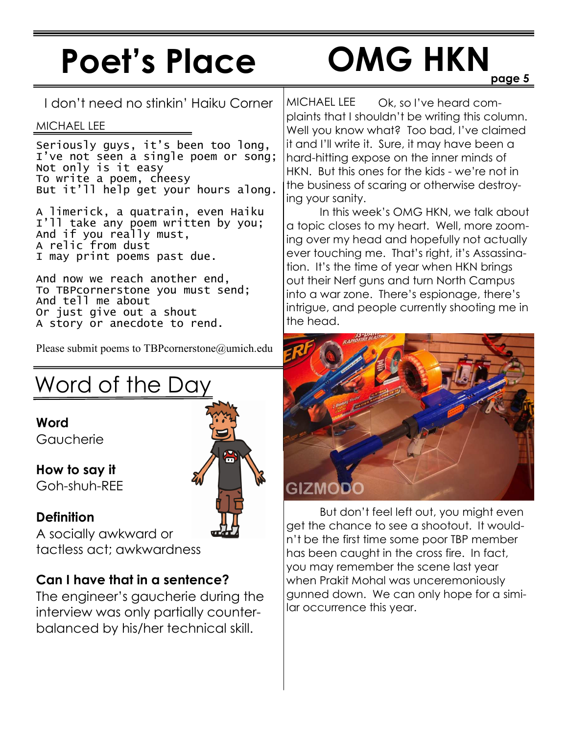## Poet's Place

# OMG HKN

I don't need no stinkin' Haiku Corner

#### MICHAEL LEE

Seriously guys, it's been too long, I've not seen a single poem or song; Not only is it easy To write a poem, cheesy But it'll help get your hours along.

A limerick, a quatrain, even Haiku I'll take any poem written by you; And if you really must, A relic from dust I may print poems past due.

And now we reach another end, To TBPcornerstone you must send; And tell me about Or just give out a shout A story or anecdote to rend.

Please submit poems to TBPcornerstone@umich.edu

### Word of the Day

Word Gaucherie

How to say it Goh-shuh-REE

#### **Definition**

A socially awkward or tactless act; awkwardness

#### Can I have that in a sentence?

The engineer's gaucherie during the interview was only partially counterbalanced by his/her technical skill.

Ok, so I've heard complaints that I shouldn't be writing this column. Well you know what? Too bad, I've claimed it and I'll write it. Sure, it may have been a hard-hitting expose on the inner minds of HKN. But this ones for the kids - we're not in the business of scaring or otherwise destroying your sanity. MICHAEL LEE

 In this week's OMG HKN, we talk about a topic closes to my heart. Well, more zooming over my head and hopefully not actually ever touching me. That's right, it's Assassination. It's the time of year when HKN brings out their Nerf guns and turn North Campus into a war zone. There's espionage, there's intrigue, and people currently shooting me in the head.



 But don't feel left out, you might even get the chance to see a shootout. It wouldn't be the first time some poor TBP member has been caught in the cross fire. In fact, you may remember the scene last year when Prakit Mohal was unceremoniously gunned down. We can only hope for a similar occurrence this year.

page 5